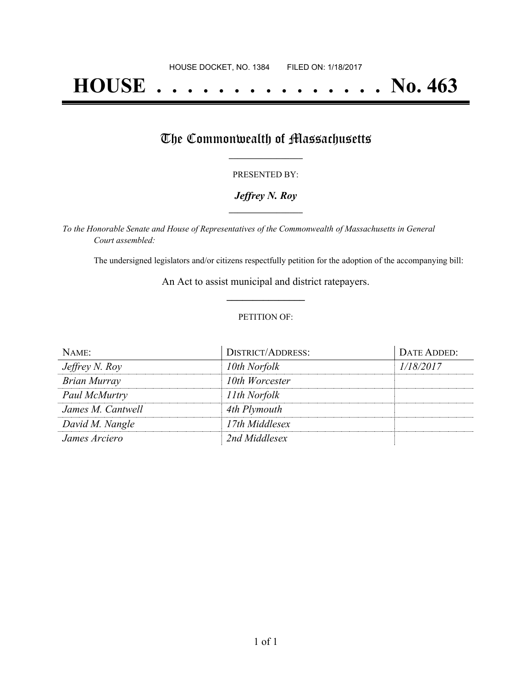# **HOUSE . . . . . . . . . . . . . . . No. 463**

## The Commonwealth of Massachusetts

#### PRESENTED BY:

#### *Jeffrey N. Roy* **\_\_\_\_\_\_\_\_\_\_\_\_\_\_\_\_\_**

*To the Honorable Senate and House of Representatives of the Commonwealth of Massachusetts in General Court assembled:*

The undersigned legislators and/or citizens respectfully petition for the adoption of the accompanying bill:

An Act to assist municipal and district ratepayers. **\_\_\_\_\_\_\_\_\_\_\_\_\_\_\_**

#### PETITION OF:

| NAME:               | <b>DISTRICT/ADDRESS:</b> | DATE ADDED: |
|---------------------|--------------------------|-------------|
| Jeffrey N. Roy      | 10th Norfolk             | 1/18/2017   |
| <b>Brian Murray</b> | 10th Worcester           |             |
| Paul McMurtry       | 11th Norfolk             |             |
| James M. Cantwell   | 4th Plymouth             |             |
| David M. Nangle     | 17th Middlesex           |             |
| James Arciero       | 2nd Middlesex            |             |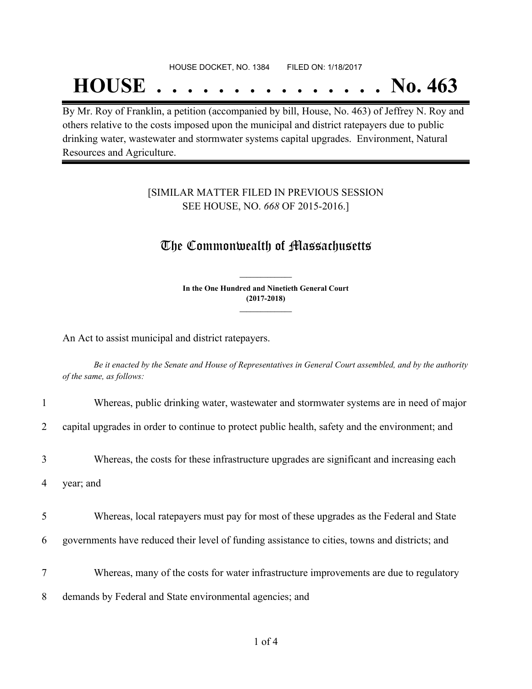#### HOUSE DOCKET, NO. 1384 FILED ON: 1/18/2017

## **HOUSE . . . . . . . . . . . . . . . No. 463**

By Mr. Roy of Franklin, a petition (accompanied by bill, House, No. 463) of Jeffrey N. Roy and others relative to the costs imposed upon the municipal and district ratepayers due to public drinking water, wastewater and stormwater systems capital upgrades. Environment, Natural Resources and Agriculture.

#### [SIMILAR MATTER FILED IN PREVIOUS SESSION SEE HOUSE, NO. *668* OF 2015-2016.]

### The Commonwealth of Massachusetts

**In the One Hundred and Ninetieth General Court (2017-2018) \_\_\_\_\_\_\_\_\_\_\_\_\_\_\_**

**\_\_\_\_\_\_\_\_\_\_\_\_\_\_\_**

An Act to assist municipal and district ratepayers.

Be it enacted by the Senate and House of Representatives in General Court assembled, and by the authority *of the same, as follows:*

|                | Whereas, public drinking water, wastewater and stormwater systems are in need of major          |
|----------------|-------------------------------------------------------------------------------------------------|
| $\overline{2}$ | capital upgrades in order to continue to protect public health, safety and the environment; and |
| 3              | Whereas, the costs for these infrastructure upgrades are significant and increasing each        |
| 4              | year; and                                                                                       |
| 5              | Whereas, local ratepayers must pay for most of these upgrades as the Federal and State          |
| 6              | governments have reduced their level of funding assistance to cities, towns and districts; and  |
| 7              | Whereas, many of the costs for water infrastructure improvements are due to regulatory          |
| 8              | demands by Federal and State environmental agencies; and                                        |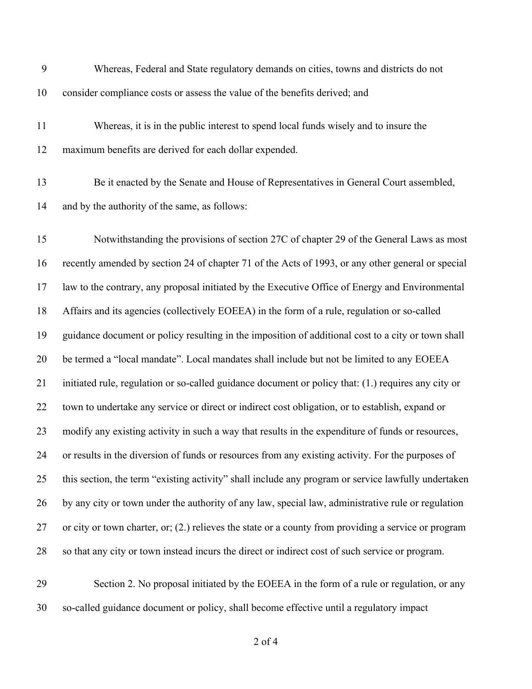| 9  | Whereas, Federal and State regulatory demands on cities, towns and districts do not                    |
|----|--------------------------------------------------------------------------------------------------------|
| 10 | consider compliance costs or assess the value of the benefits derived; and                             |
| 11 | Whereas, it is in the public interest to spend local funds wisely and to insure the                    |
| 12 | maximum benefits are derived for each dollar expended.                                                 |
| 13 | Be it enacted by the Senate and House of Representatives in General Court assembled,                   |
| 14 | and by the authority of the same, as follows:                                                          |
| 15 | Notwithstanding the provisions of section 27C of chapter 29 of the General Laws as most                |
| 16 | recently amended by section 24 of chapter 71 of the Acts of 1993, or any other general or special      |
| 17 | law to the contrary, any proposal initiated by the Executive Office of Energy and Environmental        |
| 18 | Affairs and its agencies (collectively EOEEA) in the form of a rule, regulation or so-called           |
| 19 | guidance document or policy resulting in the imposition of additional cost to a city or town shall     |
| 20 | be termed a "local mandate". Local mandates shall include but not be limited to any EOEEA              |
| 21 | initiated rule, regulation or so-called guidance document or policy that: (1.) requires any city or    |
| 22 | town to undertake any service or direct or indirect cost obligation, or to establish, expand or        |
| 23 | modify any existing activity in such a way that results in the expenditure of funds or resources,      |
| 24 | or results in the diversion of funds or resources from any existing activity. For the purposes of      |
| 25 | this section, the term "existing activity" shall include any program or service lawfully undertaken    |
| 26 | by any city or town under the authority of any law, special law, administrative rule or regulation     |
| 27 | or city or town charter, or; $(2.)$ relieves the state or a county from providing a service or program |
| 28 | so that any city or town instead incurs the direct or indirect cost of such service or program.        |
| 29 | Section 2. No proposal initiated by the EOEEA in the form of a rule or regulation, or any              |
| 30 | so-called guidance document or policy, shall become effective until a regulatory impact                |

of 4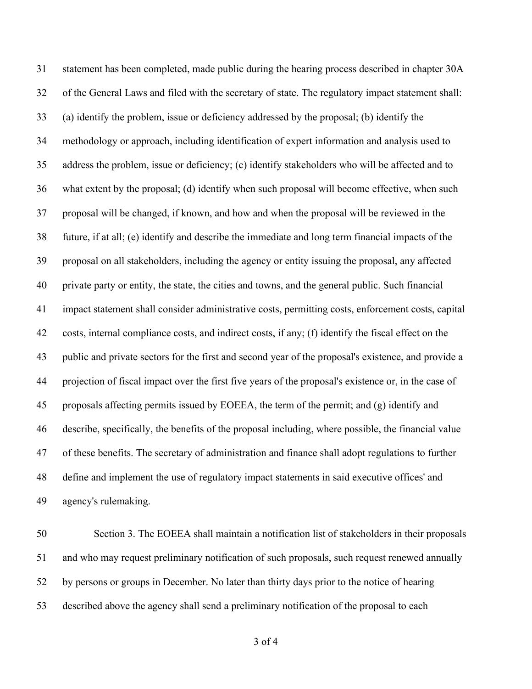statement has been completed, made public during the hearing process described in chapter 30A of the General Laws and filed with the secretary of state. The regulatory impact statement shall: (a) identify the problem, issue or deficiency addressed by the proposal; (b) identify the methodology or approach, including identification of expert information and analysis used to address the problem, issue or deficiency; (c) identify stakeholders who will be affected and to what extent by the proposal; (d) identify when such proposal will become effective, when such proposal will be changed, if known, and how and when the proposal will be reviewed in the future, if at all; (e) identify and describe the immediate and long term financial impacts of the proposal on all stakeholders, including the agency or entity issuing the proposal, any affected private party or entity, the state, the cities and towns, and the general public. Such financial impact statement shall consider administrative costs, permitting costs, enforcement costs, capital costs, internal compliance costs, and indirect costs, if any; (f) identify the fiscal effect on the public and private sectors for the first and second year of the proposal's existence, and provide a projection of fiscal impact over the first five years of the proposal's existence or, in the case of proposals affecting permits issued by EOEEA, the term of the permit; and (g) identify and describe, specifically, the benefits of the proposal including, where possible, the financial value of these benefits. The secretary of administration and finance shall adopt regulations to further define and implement the use of regulatory impact statements in said executive offices' and agency's rulemaking.

 Section 3. The EOEEA shall maintain a notification list of stakeholders in their proposals and who may request preliminary notification of such proposals, such request renewed annually by persons or groups in December. No later than thirty days prior to the notice of hearing described above the agency shall send a preliminary notification of the proposal to each

of 4